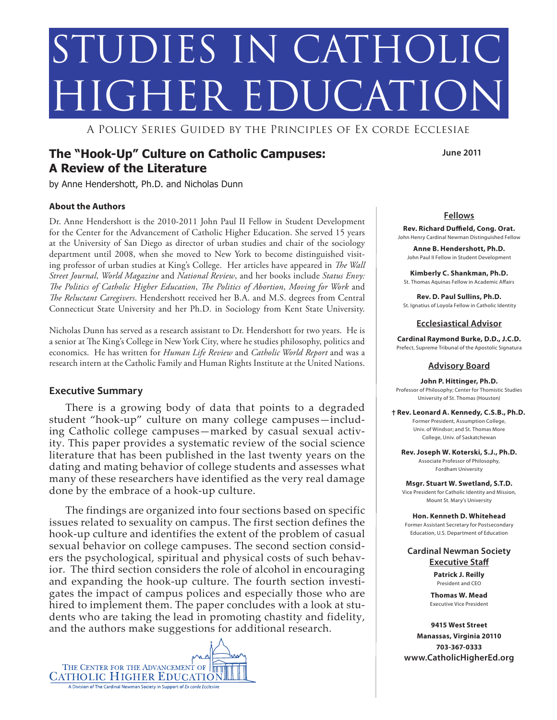# STUDIES IN CATHOLIC HIGHER EDUCATIO

A Policy Series Guided by the Principles of Ex corde Ecclesiae

# **The "Hook-Up" Culture on Catholic Campuses: A Review of the Literature**

by Anne Hendershott, Ph.D. and Nicholas Dunn

#### **About the Authors**

Dr. Anne Hendershott is the 2010-2011 John Paul II Fellow in Student Development for the Center for the Advancement of Catholic Higher Education. She served 15 years at the University of San Diego as director of urban studies and chair of the sociology department until 2008, when she moved to New York to become distinguished visiting professor of urban studies at King's College. Her articles have appeared in *The Wall Street Journal*, *World Magazine* and *National Review*, and her books include *Status Envy: The Politics of Catholic Higher Education*, *The Politics of Abortion*, *Moving for Work* and *The Reluctant Caregivers*. Hendershott received her B.A. and M.S. degrees from Central Connecticut State University and her Ph.D. in Sociology from Kent State University.

Nicholas Dunn has served as a research assistant to Dr. Hendershott for two years. He is a senior at The King's College in New York City, where he studies philosophy, politics and economics. He has written for *Human Life Review* and *Catholic World Report* and was a research intern at the Catholic Family and Human Rights Institute at the United Nations.

#### **Executive Summary**

There is a growing body of data that points to a degraded student "hook-up" culture on many college campuses—including Catholic college campuses—marked by casual sexual activity. This paper provides a systematic review of the social science literature that has been published in the last twenty years on the dating and mating behavior of college students and assesses what many of these researchers have identified as the very real damage done by the embrace of a hook-up culture.

The findings are organized into four sections based on specific issues related to sexuality on campus. The first section defines the hook-up culture and identifies the extent of the problem of casual sexual behavior on college campuses. The second section considers the psychological, spiritual and physical costs of such behavior. The third section considers the role of alcohol in encouraging and expanding the hook-up culture. The fourth section investigates the impact of campus polices and especially those who are hired to implement them. The paper concludes with a look at students who are taking the lead in promoting chastity and fidelity, and the authors make suggestions for additional research.



**June 2011**

#### **Fellows**

**Rev. Richard Duffield, Cong. Orat.** John Henry Cardinal Newman Distinguished Fellow

**Anne B. Hendershott, Ph.D.** John Paul II Fellow in Student Development

**Kimberly C. Shankman, Ph.D.** St. Thomas Aquinas Fellow in Academic Affairs

**Rev. D. Paul Sullins, Ph.D.** St. Ignatius of Loyola Fellow in Catholic Identity

**Ecclesiastical Advisor**

**Cardinal Raymond Burke, D.D., J.C.D.** Prefect, Supreme Tribunal of the Apostolic Signatura

#### **Advisory Board**

**John P. Hittinger, Ph.D.** Professor of Philosophy; Center for Thomistic Studies University of St. Thomas (Houston)

**Rev. Leonard A. Kennedy, C.S.B., Ph.D.** Former President, Assumption College, Univ. of Windsor; and St. Thomas More College, Univ. of Saskatchewan

**Rev. Joseph W. Koterski, S.J., Ph.D.**  Associate Professor of Philosophy,

Fordham University

**Msgr. Stuart W. Swetland, S.T.D.** Vice President for Catholic Identity and Mission, Mount St. Mary's University

**Hon. Kenneth D. Whitehead** Former Assistant Secretary for Postsecondary Education, U.S. Department of Education

**Cardinal Newman Society Executive Staff**

> **Patrick J. Reilly** President and CEO

**Thomas W. Mead** Executive Vice President

**9415 West Street Manassas, Virginia 20110 703-367-0333 www.CatholicHigherEd.org**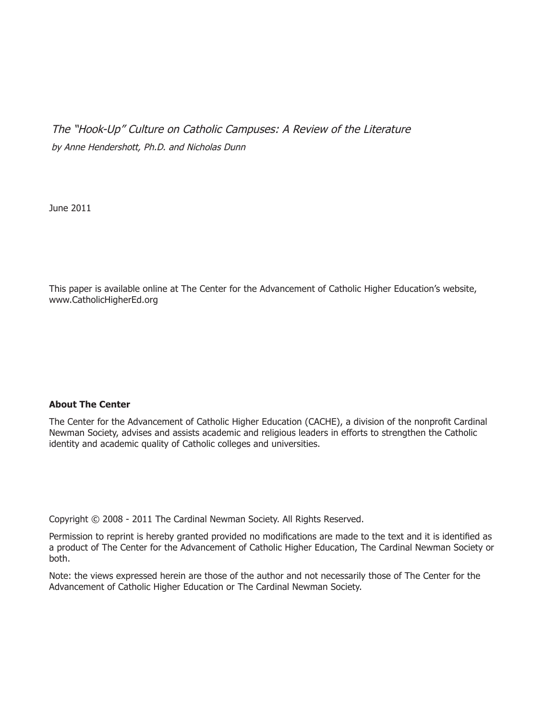The "Hook-Up" Culture on Catholic Campuses: A Review of the Literature by Anne Hendershott, Ph.D. and Nicholas Dunn

June 2011

This paper is available online at The Center for the Advancement of Catholic Higher Education's website, www.CatholicHigherEd.org

#### **About The Center**

The Center for the Advancement of Catholic Higher Education (CACHE), a division of the nonprofit Cardinal Newman Society, advises and assists academic and religious leaders in efforts to strengthen the Catholic identity and academic quality of Catholic colleges and universities.

Copyright © 2008 - 2011 The Cardinal Newman Society. All Rights Reserved.

Permission to reprint is hereby granted provided no modifications are made to the text and it is identified as a product of The Center for the Advancement of Catholic Higher Education, The Cardinal Newman Society or both.

Note: the views expressed herein are those of the author and not necessarily those of The Center for the Advancement of Catholic Higher Education or The Cardinal Newman Society.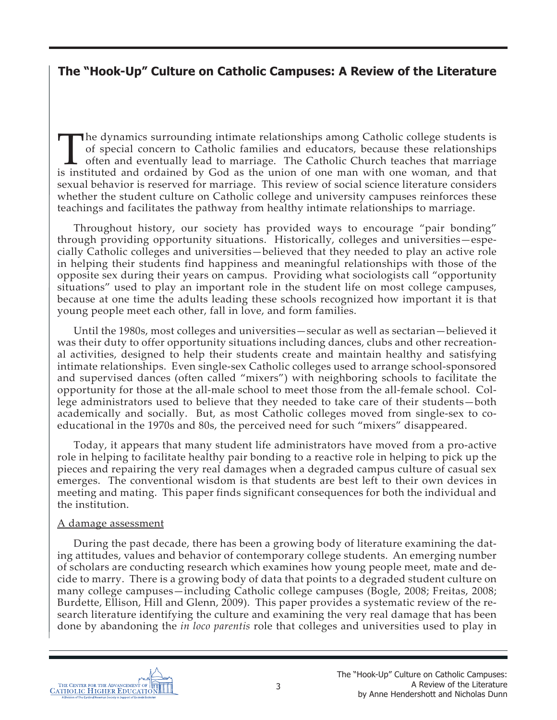# **The "Hook-Up" Culture on Catholic Campuses: A Review of the Literature**

The dynamics surrounding intimate relationships among Catholic college students is<br>of special concern to Catholic families and educators, because these relationships<br>often and eventually lead to marriage. The Catholic Chur of special concern to Catholic families and educators, because these relationships often and eventually lead to marriage. The Catholic Church teaches that marriage is instituted and ordained by God as the union of one man with one woman, and that sexual behavior is reserved for marriage. This review of social science literature considers whether the student culture on Catholic college and university campuses reinforces these teachings and facilitates the pathway from healthy intimate relationships to marriage.

Throughout history, our society has provided ways to encourage "pair bonding" through providing opportunity situations. Historically, colleges and universities—especially Catholic colleges and universities—believed that they needed to play an active role in helping their students find happiness and meaningful relationships with those of the opposite sex during their years on campus. Providing what sociologists call "opportunity situations" used to play an important role in the student life on most college campuses, because at one time the adults leading these schools recognized how important it is that young people meet each other, fall in love, and form families.

Until the 1980s, most colleges and universities—secular as well as sectarian—believed it was their duty to offer opportunity situations including dances, clubs and other recreational activities, designed to help their students create and maintain healthy and satisfying intimate relationships. Even single-sex Catholic colleges used to arrange school-sponsored and supervised dances (often called "mixers") with neighboring schools to facilitate the opportunity for those at the all-male school to meet those from the all-female school. College administrators used to believe that they needed to take care of their students—both academically and socially. But, as most Catholic colleges moved from single-sex to coeducational in the 1970s and 80s, the perceived need for such "mixers" disappeared.

Today, it appears that many student life administrators have moved from a pro-active role in helping to facilitate healthy pair bonding to a reactive role in helping to pick up the pieces and repairing the very real damages when a degraded campus culture of casual sex emerges. The conventional wisdom is that students are best left to their own devices in meeting and mating. This paper finds significant consequences for both the individual and the institution.

## A damage assessment

During the past decade, there has been a growing body of literature examining the dating attitudes, values and behavior of contemporary college students. An emerging number of scholars are conducting research which examines how young people meet, mate and decide to marry. There is a growing body of data that points to a degraded student culture on many college campuses—including Catholic college campuses (Bogle, 2008; Freitas, 2008; Burdette, Ellison, Hill and Glenn, 2009). This paper provides a systematic review of the research literature identifying the culture and examining the very real damage that has been done by abandoning the *in loco parentis* role that colleges and universities used to play in

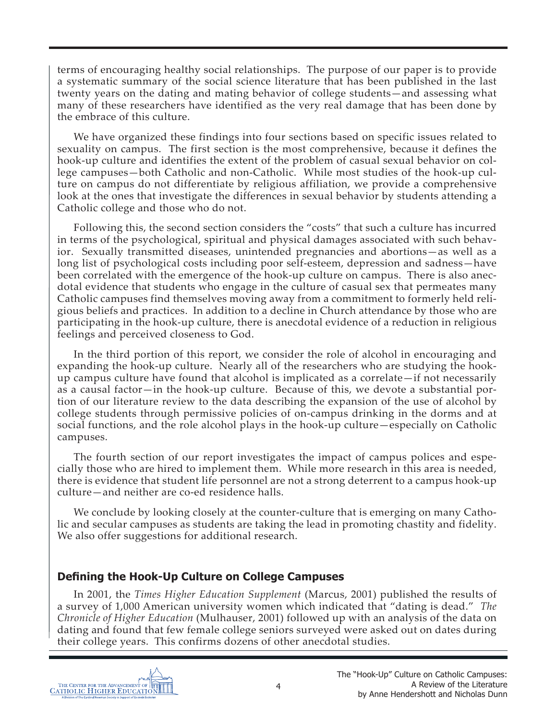terms of encouraging healthy social relationships. The purpose of our paper is to provide a systematic summary of the social science literature that has been published in the last twenty years on the dating and mating behavior of college students—and assessing what many of these researchers have identified as the very real damage that has been done by the embrace of this culture.

We have organized these findings into four sections based on specific issues related to sexuality on campus. The first section is the most comprehensive, because it defines the hook-up culture and identifies the extent of the problem of casual sexual behavior on college campuses—both Catholic and non-Catholic. While most studies of the hook-up culture on campus do not differentiate by religious affiliation, we provide a comprehensive look at the ones that investigate the differences in sexual behavior by students attending a Catholic college and those who do not.

Following this, the second section considers the "costs" that such a culture has incurred in terms of the psychological, spiritual and physical damages associated with such behavior. Sexually transmitted diseases, unintended pregnancies and abortions—as well as a long list of psychological costs including poor self-esteem, depression and sadness—have been correlated with the emergence of the hook-up culture on campus. There is also anecdotal evidence that students who engage in the culture of casual sex that permeates many Catholic campuses find themselves moving away from a commitment to formerly held religious beliefs and practices. In addition to a decline in Church attendance by those who are participating in the hook-up culture, there is anecdotal evidence of a reduction in religious feelings and perceived closeness to God.

In the third portion of this report, we consider the role of alcohol in encouraging and expanding the hook-up culture. Nearly all of the researchers who are studying the hookup campus culture have found that alcohol is implicated as a correlate—if not necessarily as a causal factor—in the hook-up culture. Because of this, we devote a substantial portion of our literature review to the data describing the expansion of the use of alcohol by college students through permissive policies of on-campus drinking in the dorms and at social functions, and the role alcohol plays in the hook-up culture—especially on Catholic campuses.

The fourth section of our report investigates the impact of campus polices and especially those who are hired to implement them. While more research in this area is needed, there is evidence that student life personnel are not a strong deterrent to a campus hook-up culture—and neither are co-ed residence halls.

We conclude by looking closely at the counter-culture that is emerging on many Catholic and secular campuses as students are taking the lead in promoting chastity and fidelity. We also offer suggestions for additional research.

## **Defining the Hook-Up Culture on College Campuses**

In 2001, the *Times Higher Education Supplement* (Marcus, 2001) published the results of a survey of 1,000 American university women which indicated that "dating is dead." *The Chronicle of Higher Education* (Mulhauser, 2001) followed up with an analysis of the data on dating and found that few female college seniors surveyed were asked out on dates during their college years. This confirms dozens of other anecdotal studies.

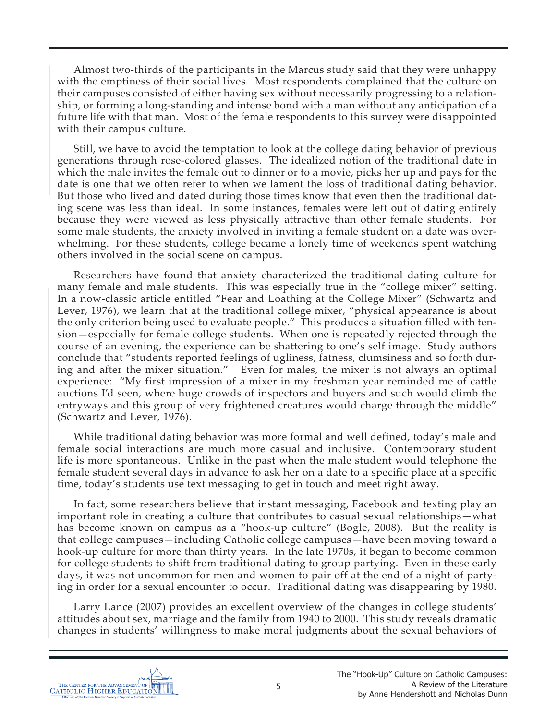Almost two-thirds of the participants in the Marcus study said that they were unhappy with the emptiness of their social lives. Most respondents complained that the culture on their campuses consisted of either having sex without necessarily progressing to a relationship, or forming a long-standing and intense bond with a man without any anticipation of a future life with that man. Most of the female respondents to this survey were disappointed with their campus culture.

Still, we have to avoid the temptation to look at the college dating behavior of previous generations through rose-colored glasses. The idealized notion of the traditional date in which the male invites the female out to dinner or to a movie, picks her up and pays for the date is one that we often refer to when we lament the loss of traditional dating behavior. But those who lived and dated during those times know that even then the traditional dating scene was less than ideal. In some instances, females were left out of dating entirely because they were viewed as less physically attractive than other female students. For some male students, the anxiety involved in inviting a female student on a date was overwhelming. For these students, college became a lonely time of weekends spent watching others involved in the social scene on campus.

Researchers have found that anxiety characterized the traditional dating culture for many female and male students. This was especially true in the "college mixer" setting. In a now-classic article entitled "Fear and Loathing at the College Mixer" (Schwartz and Lever, 1976), we learn that at the traditional college mixer, "physical appearance is about the only criterion being used to evaluate people." This produces a situation filled with tension—especially for female college students. When one is repeatedly rejected through the course of an evening, the experience can be shattering to one's self image. Study authors conclude that "students reported feelings of ugliness, fatness, clumsiness and so forth during and after the mixer situation." Even for males, the mixer is not always an optimal experience: "My first impression of a mixer in my freshman year reminded me of cattle auctions I'd seen, where huge crowds of inspectors and buyers and such would climb the entryways and this group of very frightened creatures would charge through the middle" (Schwartz and Lever, 1976).

While traditional dating behavior was more formal and well defined, today's male and female social interactions are much more casual and inclusive. Contemporary student life is more spontaneous. Unlike in the past when the male student would telephone the female student several days in advance to ask her on a date to a specific place at a specific time, today's students use text messaging to get in touch and meet right away.

In fact, some researchers believe that instant messaging, Facebook and texting play an important role in creating a culture that contributes to casual sexual relationships—what has become known on campus as a "hook-up culture" (Bogle, 2008). But the reality is that college campuses—including Catholic college campuses—have been moving toward a hook-up culture for more than thirty years. In the late 1970s, it began to become common for college students to shift from traditional dating to group partying. Even in these early days, it was not uncommon for men and women to pair off at the end of a night of partying in order for a sexual encounter to occur. Traditional dating was disappearing by 1980.

Larry Lance (2007) provides an excellent overview of the changes in college students' attitudes about sex, marriage and the family from 1940 to 2000. This study reveals dramatic changes in students' willingness to make moral judgments about the sexual behaviors of

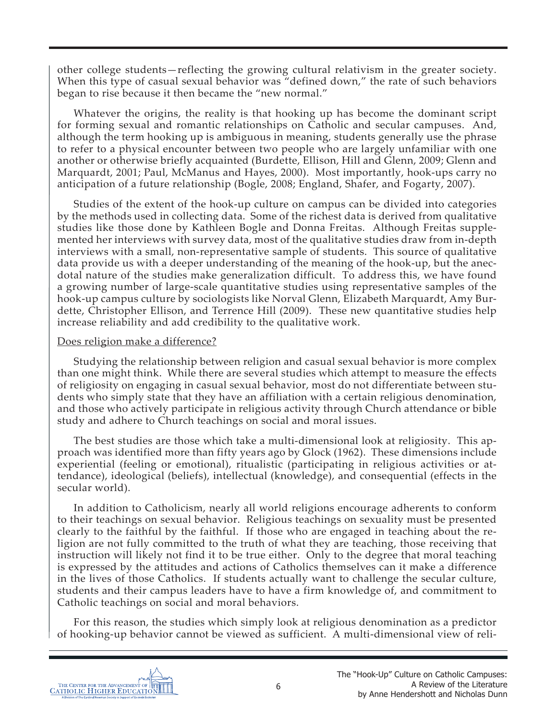other college students—reflecting the growing cultural relativism in the greater society. When this type of casual sexual behavior was "defined down," the rate of such behaviors began to rise because it then became the "new normal."

Whatever the origins, the reality is that hooking up has become the dominant script for forming sexual and romantic relationships on Catholic and secular campuses. And, although the term hooking up is ambiguous in meaning, students generally use the phrase to refer to a physical encounter between two people who are largely unfamiliar with one another or otherwise briefly acquainted (Burdette, Ellison, Hill and Glenn, 2009; Glenn and Marquardt, 2001; Paul, McManus and Hayes, 2000). Most importantly, hook-ups carry no anticipation of a future relationship (Bogle, 2008; England, Shafer, and Fogarty, 2007).

Studies of the extent of the hook-up culture on campus can be divided into categories by the methods used in collecting data. Some of the richest data is derived from qualitative studies like those done by Kathleen Bogle and Donna Freitas. Although Freitas supplemented her interviews with survey data, most of the qualitative studies draw from in-depth interviews with a small, non-representative sample of students. This source of qualitative data provide us with a deeper understanding of the meaning of the hook-up, but the anecdotal nature of the studies make generalization difficult. To address this, we have found a growing number of large-scale quantitative studies using representative samples of the hook-up campus culture by sociologists like Norval Glenn, Elizabeth Marquardt, Amy Burdette, Christopher Ellison, and Terrence Hill (2009). These new quantitative studies help increase reliability and add credibility to the qualitative work.

#### Does religion make a difference?

Studying the relationship between religion and casual sexual behavior is more complex than one might think. While there are several studies which attempt to measure the effects of religiosity on engaging in casual sexual behavior, most do not differentiate between students who simply state that they have an affiliation with a certain religious denomination, and those who actively participate in religious activity through Church attendance or bible study and adhere to Church teachings on social and moral issues.

The best studies are those which take a multi-dimensional look at religiosity. This approach was identified more than fifty years ago by Glock (1962). These dimensions include experiential (feeling or emotional), ritualistic (participating in religious activities or attendance), ideological (beliefs), intellectual (knowledge), and consequential (effects in the secular world).

In addition to Catholicism, nearly all world religions encourage adherents to conform to their teachings on sexual behavior. Religious teachings on sexuality must be presented clearly to the faithful by the faithful. If those who are engaged in teaching about the religion are not fully committed to the truth of what they are teaching, those receiving that instruction will likely not find it to be true either. Only to the degree that moral teaching is expressed by the attitudes and actions of Catholics themselves can it make a difference in the lives of those Catholics. If students actually want to challenge the secular culture, students and their campus leaders have to have a firm knowledge of, and commitment to Catholic teachings on social and moral behaviors.

For this reason, the studies which simply look at religious denomination as a predictor of hooking-up behavior cannot be viewed as sufficient. A multi-dimensional view of reli-

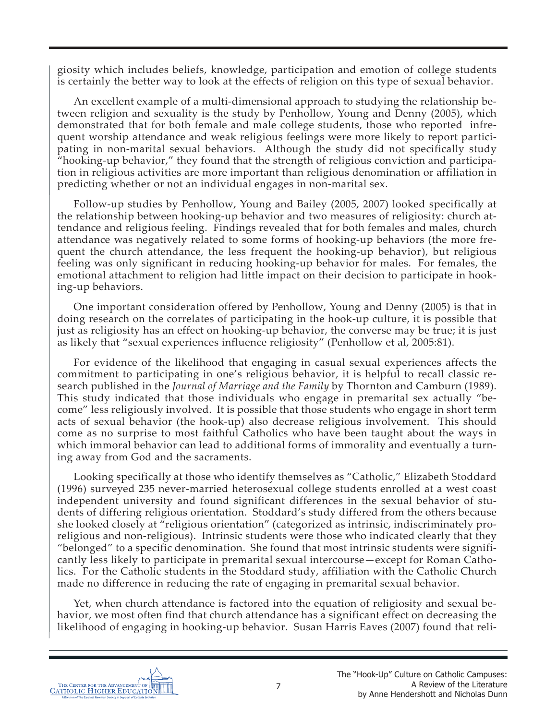giosity which includes beliefs, knowledge, participation and emotion of college students is certainly the better way to look at the effects of religion on this type of sexual behavior.

An excellent example of a multi-dimensional approach to studying the relationship between religion and sexuality is the study by Penhollow, Young and Denny (2005), which demonstrated that for both female and male college students, those who reported infrequent worship attendance and weak religious feelings were more likely to report participating in non-marital sexual behaviors. Although the study did not specifically study "hooking-up behavior," they found that the strength of religious conviction and participation in religious activities are more important than religious denomination or affiliation in predicting whether or not an individual engages in non-marital sex.

Follow-up studies by Penhollow, Young and Bailey (2005, 2007) looked specifically at the relationship between hooking-up behavior and two measures of religiosity: church attendance and religious feeling. Findings revealed that for both females and males, church attendance was negatively related to some forms of hooking-up behaviors (the more frequent the church attendance, the less frequent the hooking-up behavior), but religious feeling was only significant in reducing hooking-up behavior for males. For females, the emotional attachment to religion had little impact on their decision to participate in hooking-up behaviors.

One important consideration offered by Penhollow, Young and Denny (2005) is that in doing research on the correlates of participating in the hook-up culture, it is possible that just as religiosity has an effect on hooking-up behavior, the converse may be true; it is just as likely that "sexual experiences influence religiosity" (Penhollow et al, 2005:81).

For evidence of the likelihood that engaging in casual sexual experiences affects the commitment to participating in one's religious behavior, it is helpful to recall classic research published in the *Journal of Marriage and the Family* by Thornton and Camburn (1989). This study indicated that those individuals who engage in premarital sex actually "become" less religiously involved. It is possible that those students who engage in short term acts of sexual behavior (the hook-up) also decrease religious involvement. This should come as no surprise to most faithful Catholics who have been taught about the ways in which immoral behavior can lead to additional forms of immorality and eventually a turning away from God and the sacraments.

Looking specifically at those who identify themselves as "Catholic," Elizabeth Stoddard (1996) surveyed 235 never-married heterosexual college students enrolled at a west coast independent university and found significant differences in the sexual behavior of students of differing religious orientation. Stoddard's study differed from the others because she looked closely at "religious orientation" (categorized as intrinsic, indiscriminately proreligious and non-religious). Intrinsic students were those who indicated clearly that they "belonged" to a specific denomination. She found that most intrinsic students were significantly less likely to participate in premarital sexual intercourse—except for Roman Catholics. For the Catholic students in the Stoddard study, affiliation with the Catholic Church made no difference in reducing the rate of engaging in premarital sexual behavior.

Yet, when church attendance is factored into the equation of religiosity and sexual behavior, we most often find that church attendance has a significant effect on decreasing the likelihood of engaging in hooking-up behavior. Susan Harris Eaves (2007) found that reli-

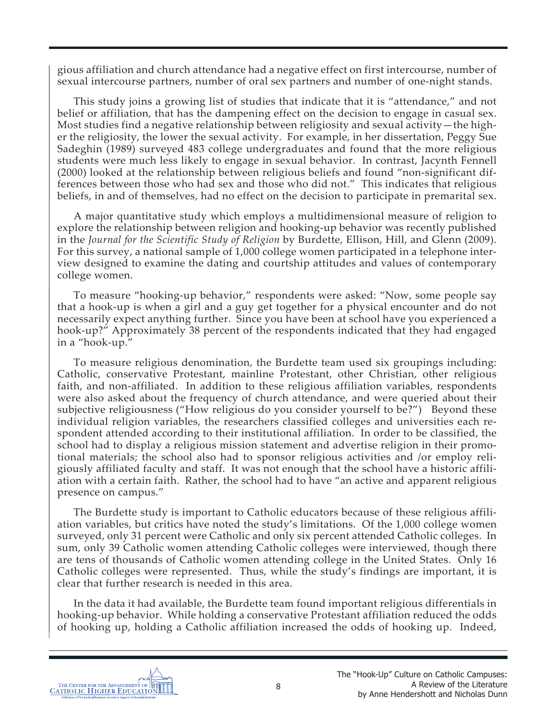gious affiliation and church attendance had a negative effect on first intercourse, number of sexual intercourse partners, number of oral sex partners and number of one-night stands.

This study joins a growing list of studies that indicate that it is "attendance," and not belief or affiliation, that has the dampening effect on the decision to engage in casual sex. Most studies find a negative relationship between religiosity and sexual activity—the higher the religiosity, the lower the sexual activity. For example, in her dissertation, Peggy Sue Sadeghin (1989) surveyed 483 college undergraduates and found that the more religious students were much less likely to engage in sexual behavior. In contrast, Jacynth Fennell (2000) looked at the relationship between religious beliefs and found "non-significant differences between those who had sex and those who did not." This indicates that religious beliefs, in and of themselves, had no effect on the decision to participate in premarital sex.

A major quantitative study which employs a multidimensional measure of religion to explore the relationship between religion and hooking-up behavior was recently published in the *Journal for the Scientific Study of Religion* by Burdette, Ellison, Hill, and Glenn (2009). For this survey, a national sample of 1,000 college women participated in a telephone interview designed to examine the dating and courtship attitudes and values of contemporary college women.

To measure "hooking-up behavior," respondents were asked: "Now, some people say that a hook-up is when a girl and a guy get together for a physical encounter and do not necessarily expect anything further. Since you have been at school have you experienced a hook-up?" Approximately 38 percent of the respondents indicated that they had engaged in a "hook-up."

To measure religious denomination, the Burdette team used six groupings including: Catholic, conservative Protestant, mainline Protestant, other Christian, other religious faith, and non-affiliated. In addition to these religious affiliation variables, respondents were also asked about the frequency of church attendance, and were queried about their subjective religiousness ("How religious do you consider yourself to be?") Beyond these individual religion variables, the researchers classified colleges and universities each respondent attended according to their institutional affiliation. In order to be classified, the school had to display a religious mission statement and advertise religion in their promotional materials; the school also had to sponsor religious activities and /or employ religiously affiliated faculty and staff. It was not enough that the school have a historic affiliation with a certain faith. Rather, the school had to have "an active and apparent religious presence on campus."

The Burdette study is important to Catholic educators because of these religious affiliation variables, but critics have noted the study's limitations. Of the 1,000 college women surveyed, only 31 percent were Catholic and only six percent attended Catholic colleges. In sum, only 39 Catholic women attending Catholic colleges were interviewed, though there are tens of thousands of Catholic women attending college in the United States. Only 16 Catholic colleges were represented. Thus, while the study's findings are important, it is clear that further research is needed in this area.

In the data it had available, the Burdette team found important religious differentials in hooking-up behavior. While holding a conservative Protestant affiliation reduced the odds of hooking up, holding a Catholic affiliation increased the odds of hooking up. Indeed,

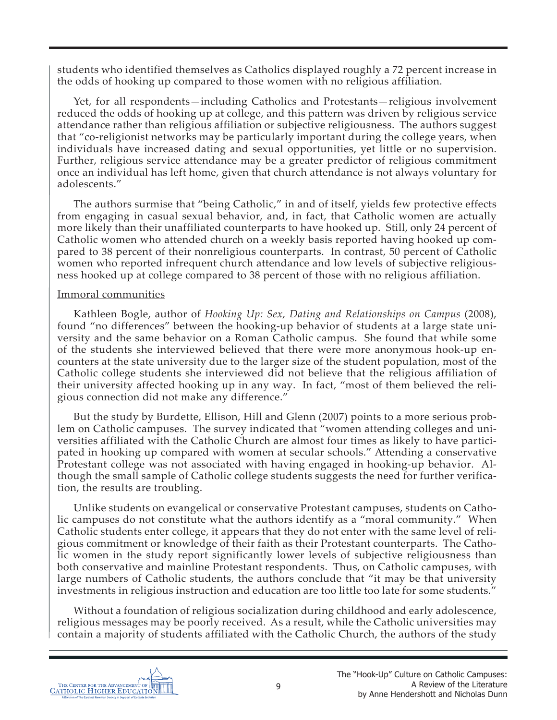students who identified themselves as Catholics displayed roughly a 72 percent increase in the odds of hooking up compared to those women with no religious affiliation.

Yet, for all respondents—including Catholics and Protestants—religious involvement reduced the odds of hooking up at college, and this pattern was driven by religious service attendance rather than religious affiliation or subjective religiousness. The authors suggest that "co-religionist networks may be particularly important during the college years, when individuals have increased dating and sexual opportunities, yet little or no supervision. Further, religious service attendance may be a greater predictor of religious commitment once an individual has left home, given that church attendance is not always voluntary for adolescents."

The authors surmise that "being Catholic," in and of itself, yields few protective effects from engaging in casual sexual behavior, and, in fact, that Catholic women are actually more likely than their unaffiliated counterparts to have hooked up. Still, only 24 percent of Catholic women who attended church on a weekly basis reported having hooked up compared to 38 percent of their nonreligious counterparts. In contrast, 50 percent of Catholic women who reported infrequent church attendance and low levels of subjective religiousness hooked up at college compared to 38 percent of those with no religious affiliation.

#### Immoral communities

Kathleen Bogle, author of *Hooking Up: Sex, Dating and Relationships on Campus* (2008), found "no differences" between the hooking-up behavior of students at a large state university and the same behavior on a Roman Catholic campus. She found that while some of the students she interviewed believed that there were more anonymous hook-up encounters at the state university due to the larger size of the student population, most of the Catholic college students she interviewed did not believe that the religious affiliation of their university affected hooking up in any way. In fact, "most of them believed the religious connection did not make any difference."

But the study by Burdette, Ellison, Hill and Glenn (2007) points to a more serious problem on Catholic campuses. The survey indicated that "women attending colleges and universities affiliated with the Catholic Church are almost four times as likely to have participated in hooking up compared with women at secular schools." Attending a conservative Protestant college was not associated with having engaged in hooking-up behavior. Although the small sample of Catholic college students suggests the need for further verification, the results are troubling.

Unlike students on evangelical or conservative Protestant campuses, students on Catholic campuses do not constitute what the authors identify as a "moral community." When Catholic students enter college, it appears that they do not enter with the same level of religious commitment or knowledge of their faith as their Protestant counterparts. The Catholic women in the study report significantly lower levels of subjective religiousness than both conservative and mainline Protestant respondents. Thus, on Catholic campuses, with large numbers of Catholic students, the authors conclude that "it may be that university investments in religious instruction and education are too little too late for some students."

Without a foundation of religious socialization during childhood and early adolescence, religious messages may be poorly received. As a result, while the Catholic universities may contain a majority of students affiliated with the Catholic Church, the authors of the study

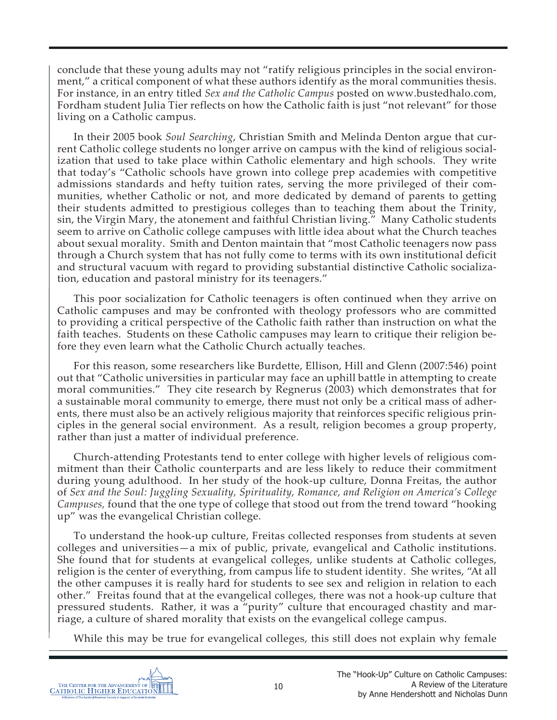conclude that these young adults may not "ratify religious principles in the social environment," a critical component of what these authors identify as the moral communities thesis. For instance, in an entry titled *Sex and the Catholic Campus* posted on www.bustedhalo.com, Fordham student Julia Tier reflects on how the Catholic faith is just "not relevant" for those living on a Catholic campus.

In their 2005 book *Soul Searching*, Christian Smith and Melinda Denton argue that current Catholic college students no longer arrive on campus with the kind of religious socialization that used to take place within Catholic elementary and high schools. They write that today's "Catholic schools have grown into college prep academies with competitive admissions standards and hefty tuition rates, serving the more privileged of their communities, whether Catholic or not, and more dedicated by demand of parents to getting their students admitted to prestigious colleges than to teaching them about the Trinity, sin, the Virgin Mary, the atonement and faithful Christian living." Many Catholic students seem to arrive on Catholic college campuses with little idea about what the Church teaches about sexual morality. Smith and Denton maintain that "most Catholic teenagers now pass through a Church system that has not fully come to terms with its own institutional deficit and structural vacuum with regard to providing substantial distinctive Catholic socialization, education and pastoral ministry for its teenagers."

This poor socialization for Catholic teenagers is often continued when they arrive on Catholic campuses and may be confronted with theology professors who are committed to providing a critical perspective of the Catholic faith rather than instruction on what the faith teaches. Students on these Catholic campuses may learn to critique their religion before they even learn what the Catholic Church actually teaches.

For this reason, some researchers like Burdette, Ellison, Hill and Glenn (2007:546) point out that "Catholic universities in particular may face an uphill battle in attempting to create moral communities." They cite research by Regnerus (2003) which demonstrates that for a sustainable moral community to emerge, there must not only be a critical mass of adherents, there must also be an actively religious majority that reinforces specific religious principles in the general social environment. As a result, religion becomes a group property, rather than just a matter of individual preference.

Church-attending Protestants tend to enter college with higher levels of religious commitment than their Catholic counterparts and are less likely to reduce their commitment during young adulthood. In her study of the hook-up culture, Donna Freitas, the author of *Sex and the Soul: Juggling Sexuality, Spirituality, Romance, and Religion on America's College Campuses,* found that the one type of college that stood out from the trend toward "hooking up" was the evangelical Christian college.

To understand the hook-up culture, Freitas collected responses from students at seven colleges and universities—a mix of public, private, evangelical and Catholic institutions. She found that for students at evangelical colleges, unlike students at Catholic colleges, religion is the center of everything, from campus life to student identity. She writes, "At all the other campuses it is really hard for students to see sex and religion in relation to each other." Freitas found that at the evangelical colleges, there was not a hook-up culture that pressured students. Rather, it was a "purity" culture that encouraged chastity and marriage, a culture of shared morality that exists on the evangelical college campus.

While this may be true for evangelical colleges, this still does not explain why female

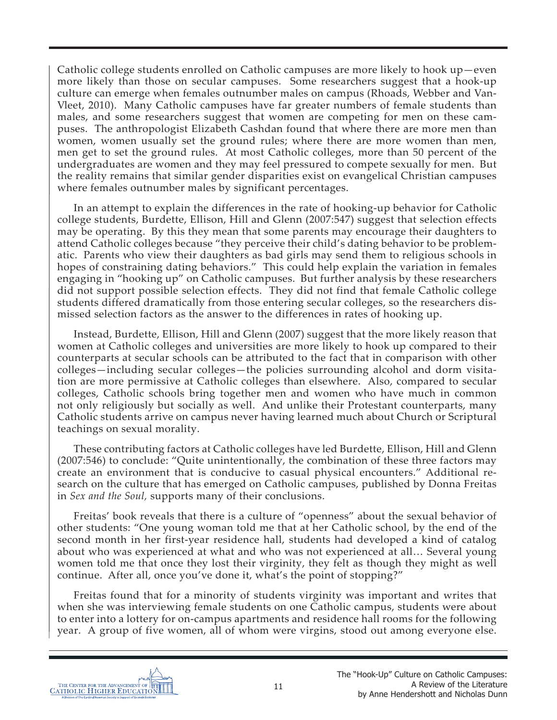Catholic college students enrolled on Catholic campuses are more likely to hook up—even more likely than those on secular campuses. Some researchers suggest that a hook-up culture can emerge when females outnumber males on campus (Rhoads, Webber and Van-Vleet, 2010). Many Catholic campuses have far greater numbers of female students than males, and some researchers suggest that women are competing for men on these campuses. The anthropologist Elizabeth Cashdan found that where there are more men than women, women usually set the ground rules; where there are more women than men, men get to set the ground rules. At most Catholic colleges, more than 50 percent of the undergraduates are women and they may feel pressured to compete sexually for men. But the reality remains that similar gender disparities exist on evangelical Christian campuses where females outnumber males by significant percentages.

In an attempt to explain the differences in the rate of hooking-up behavior for Catholic college students, Burdette, Ellison, Hill and Glenn (2007:547) suggest that selection effects may be operating. By this they mean that some parents may encourage their daughters to attend Catholic colleges because "they perceive their child's dating behavior to be problematic. Parents who view their daughters as bad girls may send them to religious schools in hopes of constraining dating behaviors." This could help explain the variation in females engaging in "hooking up" on Catholic campuses. But further analysis by these researchers did not support possible selection effects. They did not find that female Catholic college students differed dramatically from those entering secular colleges, so the researchers dismissed selection factors as the answer to the differences in rates of hooking up.

Instead, Burdette, Ellison, Hill and Glenn (2007) suggest that the more likely reason that women at Catholic colleges and universities are more likely to hook up compared to their counterparts at secular schools can be attributed to the fact that in comparison with other colleges—including secular colleges—the policies surrounding alcohol and dorm visitation are more permissive at Catholic colleges than elsewhere. Also, compared to secular colleges, Catholic schools bring together men and women who have much in common not only religiously but socially as well. And unlike their Protestant counterparts, many Catholic students arrive on campus never having learned much about Church or Scriptural teachings on sexual morality.

These contributing factors at Catholic colleges have led Burdette, Ellison, Hill and Glenn (2007:546) to conclude: "Quite unintentionally, the combination of these three factors may create an environment that is conducive to casual physical encounters." Additional research on the culture that has emerged on Catholic campuses, published by Donna Freitas in *Sex and the Soul,* supports many of their conclusions.

Freitas' book reveals that there is a culture of "openness" about the sexual behavior of other students: "One young woman told me that at her Catholic school, by the end of the second month in her first-year residence hall, students had developed a kind of catalog about who was experienced at what and who was not experienced at all… Several young women told me that once they lost their virginity, they felt as though they might as well continue. After all, once you've done it, what's the point of stopping?"

Freitas found that for a minority of students virginity was important and writes that when she was interviewing female students on one Catholic campus, students were about to enter into a lottery for on-campus apartments and residence hall rooms for the following year. A group of five women, all of whom were virgins, stood out among everyone else.

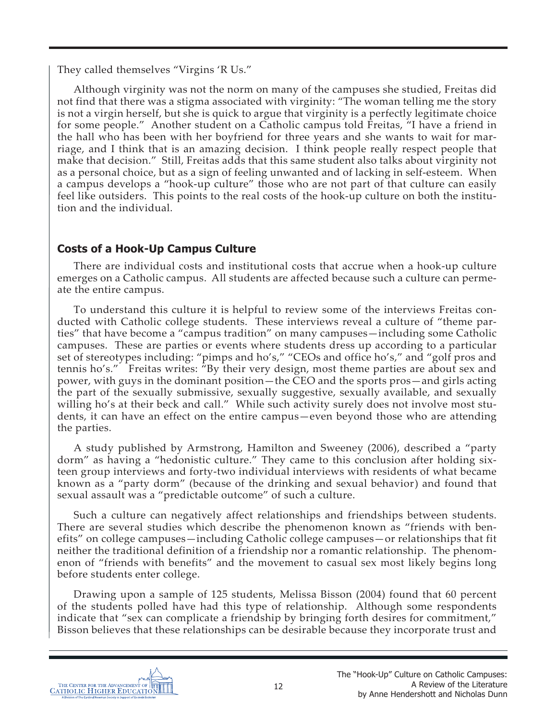They called themselves "Virgins 'R Us."

Although virginity was not the norm on many of the campuses she studied, Freitas did not find that there was a stigma associated with virginity: "The woman telling me the story is not a virgin herself, but she is quick to argue that virginity is a perfectly legitimate choice for some people." Another student on a Catholic campus told Freitas, "I have a friend in the hall who has been with her boyfriend for three years and she wants to wait for marriage, and I think that is an amazing decision. I think people really respect people that make that decision." Still, Freitas adds that this same student also talks about virginity not as a personal choice, but as a sign of feeling unwanted and of lacking in self-esteem. When a campus develops a "hook-up culture" those who are not part of that culture can easily feel like outsiders. This points to the real costs of the hook-up culture on both the institution and the individual.

# **Costs of a Hook-Up Campus Culture**

There are individual costs and institutional costs that accrue when a hook-up culture emerges on a Catholic campus. All students are affected because such a culture can permeate the entire campus.

To understand this culture it is helpful to review some of the interviews Freitas conducted with Catholic college students. These interviews reveal a culture of "theme parties" that have become a "campus tradition" on many campuses—including some Catholic campuses. These are parties or events where students dress up according to a particular set of stereotypes including: "pimps and ho's," "CEOs and office ho's," and "golf pros and tennis ho's." Freitas writes: "By their very design, most theme parties are about sex and power, with guys in the dominant position—the CEO and the sports pros—and girls acting the part of the sexually submissive, sexually suggestive, sexually available, and sexually willing ho's at their beck and call." While such activity surely does not involve most students, it can have an effect on the entire campus—even beyond those who are attending the parties.

A study published by Armstrong, Hamilton and Sweeney (2006), described a "party dorm" as having a "hedonistic culture." They came to this conclusion after holding sixteen group interviews and forty-two individual interviews with residents of what became known as a "party dorm" (because of the drinking and sexual behavior) and found that sexual assault was a "predictable outcome" of such a culture.

Such a culture can negatively affect relationships and friendships between students. There are several studies which describe the phenomenon known as "friends with benefits" on college campuses—including Catholic college campuses—or relationships that fit neither the traditional definition of a friendship nor a romantic relationship. The phenomenon of "friends with benefits" and the movement to casual sex most likely begins long before students enter college.

Drawing upon a sample of 125 students, Melissa Bisson (2004) found that 60 percent of the students polled have had this type of relationship. Although some respondents indicate that "sex can complicate a friendship by bringing forth desires for commitment," Bisson believes that these relationships can be desirable because they incorporate trust and

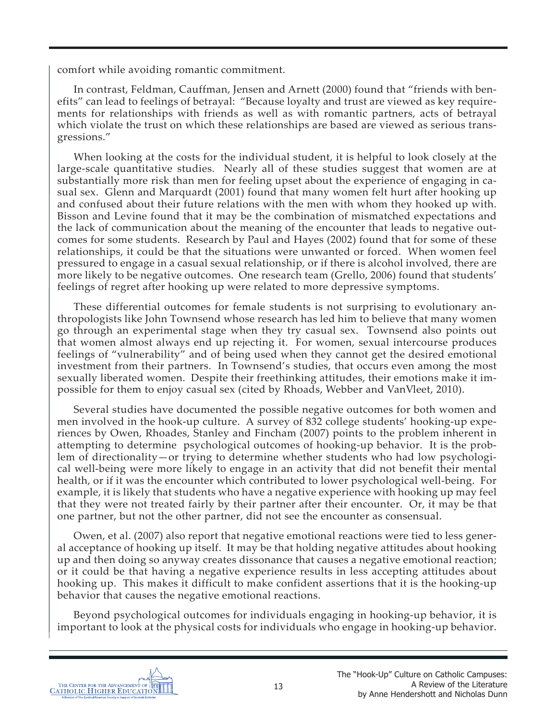comfort while avoiding romantic commitment.

In contrast, Feldman, Cauffman, Jensen and Arnett (2000) found that "friends with benefits" can lead to feelings of betrayal: "Because loyalty and trust are viewed as key requirements for relationships with friends as well as with romantic partners, acts of betrayal which violate the trust on which these relationships are based are viewed as serious transgressions."

When looking at the costs for the individual student, it is helpful to look closely at the large-scale quantitative studies. Nearly all of these studies suggest that women are at substantially more risk than men for feeling upset about the experience of engaging in casual sex. Glenn and Marquardt (2001) found that many women felt hurt after hooking up and confused about their future relations with the men with whom they hooked up with. Bisson and Levine found that it may be the combination of mismatched expectations and the lack of communication about the meaning of the encounter that leads to negative outcomes for some students. Research by Paul and Hayes (2002) found that for some of these relationships, it could be that the situations were unwanted or forced. When women feel pressured to engage in a casual sexual relationship, or if there is alcohol involved, there are more likely to be negative outcomes. One research team (Grello, 2006) found that students' feelings of regret after hooking up were related to more depressive symptoms.

These differential outcomes for female students is not surprising to evolutionary anthropologists like John Townsend whose research has led him to believe that many women go through an experimental stage when they try casual sex. Townsend also points out that women almost always end up rejecting it. For women, sexual intercourse produces feelings of "vulnerability" and of being used when they cannot get the desired emotional investment from their partners. In Townsend's studies, that occurs even among the most sexually liberated women. Despite their freethinking attitudes, their emotions make it impossible for them to enjoy casual sex (cited by Rhoads, Webber and VanVleet, 2010).

Several studies have documented the possible negative outcomes for both women and men involved in the hook-up culture. A survey of 832 college students' hooking-up experiences by Owen, Rhoades, Stanley and Fincham (2007) points to the problem inherent in attempting to determine psychological outcomes of hooking-up behavior. It is the problem of directionality—or trying to determine whether students who had low psychological well-being were more likely to engage in an activity that did not benefit their mental health, or if it was the encounter which contributed to lower psychological well-being. For example, it is likely that students who have a negative experience with hooking up may feel that they were not treated fairly by their partner after their encounter. Or, it may be that one partner, but not the other partner, did not see the encounter as consensual.

Owen, et al. (2007) also report that negative emotional reactions were tied to less general acceptance of hooking up itself. It may be that holding negative attitudes about hooking up and then doing so anyway creates dissonance that causes a negative emotional reaction; or it could be that having a negative experience results in less accepting attitudes about hooking up. This makes it difficult to make confident assertions that it is the hooking-up behavior that causes the negative emotional reactions.

Beyond psychological outcomes for individuals engaging in hooking-up behavior, it is important to look at the physical costs for individuals who engage in hooking-up behavior.

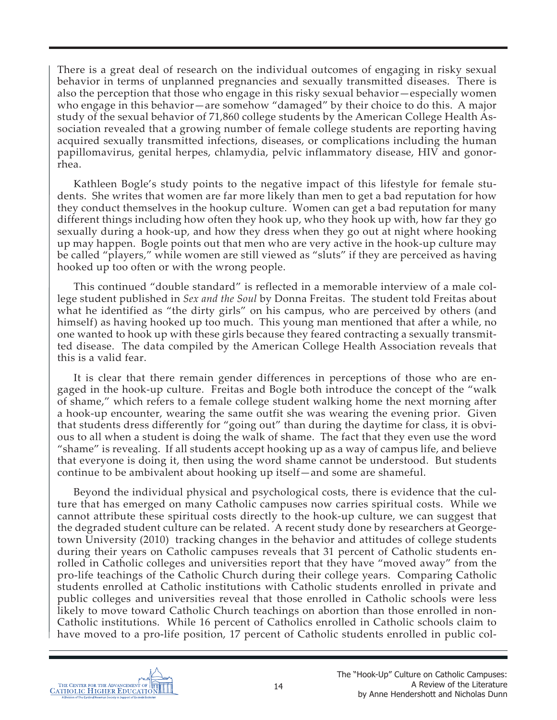There is a great deal of research on the individual outcomes of engaging in risky sexual behavior in terms of unplanned pregnancies and sexually transmitted diseases. There is also the perception that those who engage in this risky sexual behavior—especially women who engage in this behavior—are somehow "damaged" by their choice to do this. A major study of the sexual behavior of 71,860 college students by the American College Health Association revealed that a growing number of female college students are reporting having acquired sexually transmitted infections, diseases, or complications including the human papillomavirus, genital herpes, chlamydia, pelvic inflammatory disease, HIV and gonorrhea.

Kathleen Bogle's study points to the negative impact of this lifestyle for female students. She writes that women are far more likely than men to get a bad reputation for how they conduct themselves in the hookup culture. Women can get a bad reputation for many different things including how often they hook up, who they hook up with, how far they go sexually during a hook-up, and how they dress when they go out at night where hooking up may happen. Bogle points out that men who are very active in the hook-up culture may be called "players," while women are still viewed as "sluts" if they are perceived as having hooked up too often or with the wrong people.

This continued "double standard" is reflected in a memorable interview of a male college student published in *Sex and the Soul* by Donna Freitas. The student told Freitas about what he identified as "the dirty girls" on his campus, who are perceived by others (and himself) as having hooked up too much. This young man mentioned that after a while, no one wanted to hook up with these girls because they feared contracting a sexually transmitted disease. The data compiled by the American College Health Association reveals that this is a valid fear.

It is clear that there remain gender differences in perceptions of those who are engaged in the hook-up culture. Freitas and Bogle both introduce the concept of the "walk of shame," which refers to a female college student walking home the next morning after a hook-up encounter, wearing the same outfit she was wearing the evening prior. Given that students dress differently for "going out" than during the daytime for class, it is obvious to all when a student is doing the walk of shame. The fact that they even use the word "shame" is revealing. If all students accept hooking up as a way of campus life, and believe that everyone is doing it, then using the word shame cannot be understood. But students continue to be ambivalent about hooking up itself—and some are shameful.

Beyond the individual physical and psychological costs, there is evidence that the culture that has emerged on many Catholic campuses now carries spiritual costs. While we cannot attribute these spiritual costs directly to the hook-up culture, we can suggest that the degraded student culture can be related. A recent study done by researchers at Georgetown University (2010) tracking changes in the behavior and attitudes of college students during their years on Catholic campuses reveals that 31 percent of Catholic students enrolled in Catholic colleges and universities report that they have "moved away" from the pro-life teachings of the Catholic Church during their college years. Comparing Catholic students enrolled at Catholic institutions with Catholic students enrolled in private and public colleges and universities reveal that those enrolled in Catholic schools were less likely to move toward Catholic Church teachings on abortion than those enrolled in non-Catholic institutions. While 16 percent of Catholics enrolled in Catholic schools claim to have moved to a pro-life position, 17 percent of Catholic students enrolled in public col-

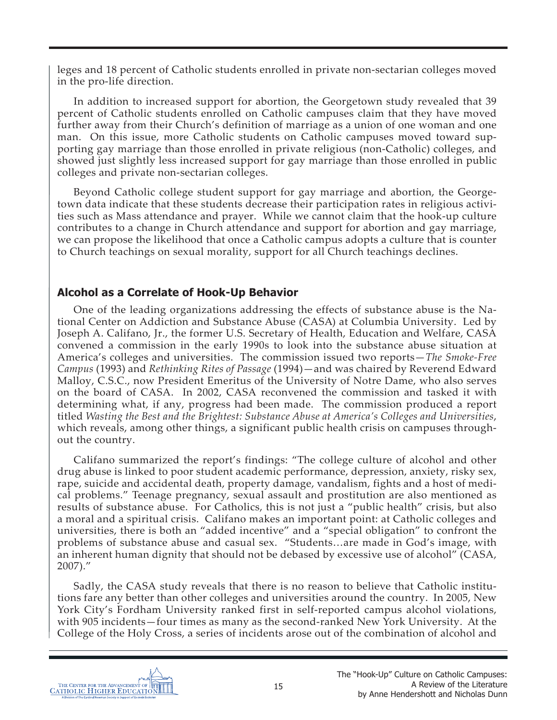leges and 18 percent of Catholic students enrolled in private non-sectarian colleges moved in the pro-life direction.

In addition to increased support for abortion, the Georgetown study revealed that 39 percent of Catholic students enrolled on Catholic campuses claim that they have moved further away from their Church's definition of marriage as a union of one woman and one man. On this issue, more Catholic students on Catholic campuses moved toward supporting gay marriage than those enrolled in private religious (non-Catholic) colleges, and showed just slightly less increased support for gay marriage than those enrolled in public colleges and private non-sectarian colleges.

Beyond Catholic college student support for gay marriage and abortion, the Georgetown data indicate that these students decrease their participation rates in religious activities such as Mass attendance and prayer. While we cannot claim that the hook-up culture contributes to a change in Church attendance and support for abortion and gay marriage, we can propose the likelihood that once a Catholic campus adopts a culture that is counter to Church teachings on sexual morality, support for all Church teachings declines.

# **Alcohol as a Correlate of Hook-Up Behavior**

One of the leading organizations addressing the effects of substance abuse is the National Center on Addiction and Substance Abuse (CASA) at Columbia University. Led by Joseph A. Califano, Jr., the former U.S. Secretary of Health, Education and Welfare, CASA convened a commission in the early 1990s to look into the substance abuse situation at America's colleges and universities. The commission issued two reports—*The Smoke-Free Campus* (1993) and *Rethinking Rites of Passage* (1994)—and was chaired by Reverend Edward Malloy, C.S.C., now President Emeritus of the University of Notre Dame, who also serves on the board of CASA. In 2002, CASA reconvened the commission and tasked it with determining what, if any, progress had been made. The commission produced a report titled *Wasting the Best and the Brightest: Substance Abuse at America's Colleges and Universities*, which reveals, among other things, a significant public health crisis on campuses throughout the country.

Califano summarized the report's findings: "The college culture of alcohol and other drug abuse is linked to poor student academic performance, depression, anxiety, risky sex, rape, suicide and accidental death, property damage, vandalism, fights and a host of medical problems." Teenage pregnancy, sexual assault and prostitution are also mentioned as results of substance abuse. For Catholics, this is not just a "public health" crisis, but also a moral and a spiritual crisis. Califano makes an important point: at Catholic colleges and universities, there is both an "added incentive" and a "special obligation" to confront the problems of substance abuse and casual sex. "Students…are made in God's image, with an inherent human dignity that should not be debased by excessive use of alcohol" (CASA, 2007)."

Sadly, the CASA study reveals that there is no reason to believe that Catholic institutions fare any better than other colleges and universities around the country. In 2005, New York City's Fordham University ranked first in self-reported campus alcohol violations, with 905 incidents—four times as many as the second-ranked New York University. At the College of the Holy Cross, a series of incidents arose out of the combination of alcohol and

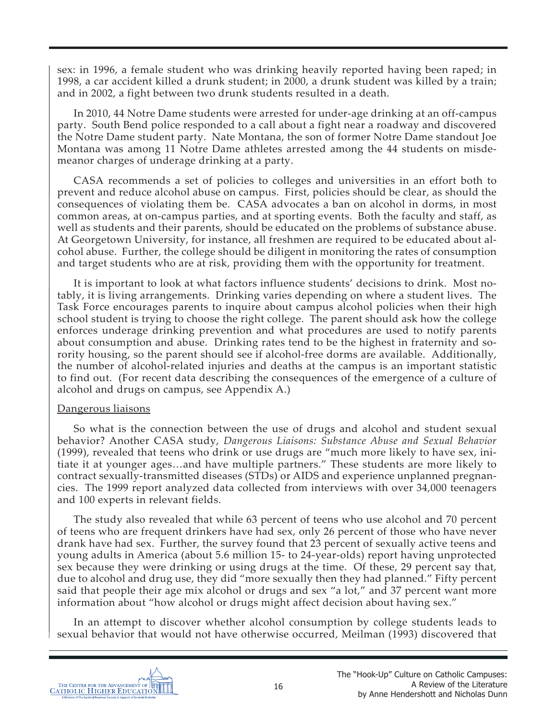sex: in 1996, a female student who was drinking heavily reported having been raped; in 1998, a car accident killed a drunk student; in 2000, a drunk student was killed by a train; and in 2002, a fight between two drunk students resulted in a death.

In 2010, 44 Notre Dame students were arrested for under-age drinking at an off-campus party. South Bend police responded to a call about a fight near a roadway and discovered the Notre Dame student party. Nate Montana, the son of former Notre Dame standout Joe Montana was among 11 Notre Dame athletes arrested among the 44 students on misdemeanor charges of underage drinking at a party.

CASA recommends a set of policies to colleges and universities in an effort both to prevent and reduce alcohol abuse on campus. First, policies should be clear, as should the consequences of violating them be. CASA advocates a ban on alcohol in dorms, in most common areas, at on-campus parties, and at sporting events. Both the faculty and staff, as well as students and their parents, should be educated on the problems of substance abuse. At Georgetown University, for instance, all freshmen are required to be educated about alcohol abuse. Further, the college should be diligent in monitoring the rates of consumption and target students who are at risk, providing them with the opportunity for treatment.

It is important to look at what factors influence students' decisions to drink. Most notably, it is living arrangements. Drinking varies depending on where a student lives. The Task Force encourages parents to inquire about campus alcohol policies when their high school student is trying to choose the right college. The parent should ask how the college enforces underage drinking prevention and what procedures are used to notify parents about consumption and abuse. Drinking rates tend to be the highest in fraternity and sorority housing, so the parent should see if alcohol-free dorms are available. Additionally, the number of alcohol-related injuries and deaths at the campus is an important statistic to find out. (For recent data describing the consequences of the emergence of a culture of alcohol and drugs on campus, see Appendix A.)

#### Dangerous liaisons

So what is the connection between the use of drugs and alcohol and student sexual behavior? Another CASA study, *Dangerous Liaisons: Substance Abuse and Sexual Behavior* (1999), revealed that teens who drink or use drugs are "much more likely to have sex, initiate it at younger ages…and have multiple partners." These students are more likely to contract sexually-transmitted diseases (STDs) or AIDS and experience unplanned pregnancies. The 1999 report analyzed data collected from interviews with over 34,000 teenagers and 100 experts in relevant fields.

The study also revealed that while 63 percent of teens who use alcohol and 70 percent of teens who are frequent drinkers have had sex, only 26 percent of those who have never drank have had sex. Further, the survey found that 23 percent of sexually active teens and young adults in America (about 5.6 million 15- to 24-year-olds) report having unprotected sex because they were drinking or using drugs at the time. Of these, 29 percent say that, due to alcohol and drug use, they did "more sexually then they had planned." Fifty percent said that people their age mix alcohol or drugs and sex "a lot," and 37 percent want more information about "how alcohol or drugs might affect decision about having sex."

In an attempt to discover whether alcohol consumption by college students leads to sexual behavior that would not have otherwise occurred, Meilman (1993) discovered that

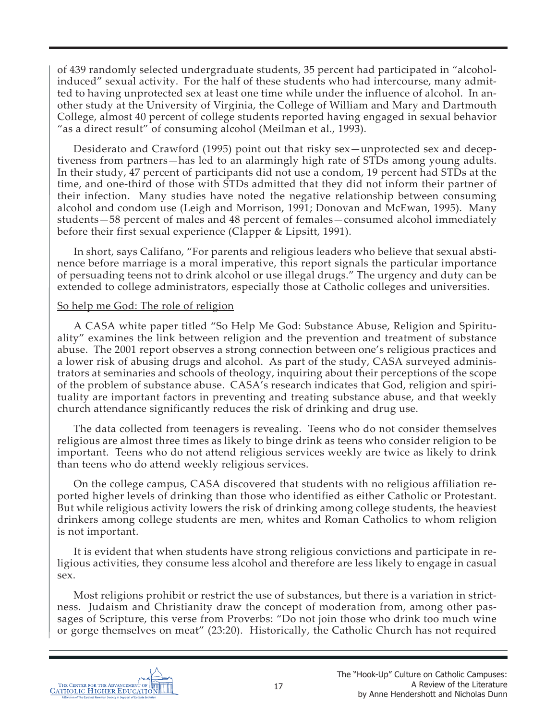of 439 randomly selected undergraduate students, 35 percent had participated in "alcoholinduced" sexual activity. For the half of these students who had intercourse, many admitted to having unprotected sex at least one time while under the influence of alcohol. In another study at the University of Virginia, the College of William and Mary and Dartmouth College, almost 40 percent of college students reported having engaged in sexual behavior "as a direct result" of consuming alcohol (Meilman et al., 1993).

Desiderato and Crawford (1995) point out that risky sex—unprotected sex and deceptiveness from partners—has led to an alarmingly high rate of STDs among young adults. In their study, 47 percent of participants did not use a condom, 19 percent had STDs at the time, and one-third of those with STDs admitted that they did not inform their partner of their infection. Many studies have noted the negative relationship between consuming alcohol and condom use (Leigh and Morrison, 1991; Donovan and McEwan, 1995). Many students—58 percent of males and 48 percent of females—consumed alcohol immediately before their first sexual experience (Clapper & Lipsitt, 1991).

In short, says Califano, "For parents and religious leaders who believe that sexual abstinence before marriage is a moral imperative, this report signals the particular importance of persuading teens not to drink alcohol or use illegal drugs." The urgency and duty can be extended to college administrators, especially those at Catholic colleges and universities.

### So help me God: The role of religion

A CASA white paper titled "So Help Me God: Substance Abuse, Religion and Spirituality" examines the link between religion and the prevention and treatment of substance abuse. The 2001 report observes a strong connection between one's religious practices and a lower risk of abusing drugs and alcohol. As part of the study, CASA surveyed administrators at seminaries and schools of theology, inquiring about their perceptions of the scope of the problem of substance abuse. CASA's research indicates that God, religion and spirituality are important factors in preventing and treating substance abuse, and that weekly church attendance significantly reduces the risk of drinking and drug use.

The data collected from teenagers is revealing. Teens who do not consider themselves religious are almost three times as likely to binge drink as teens who consider religion to be important. Teens who do not attend religious services weekly are twice as likely to drink than teens who do attend weekly religious services.

On the college campus, CASA discovered that students with no religious affiliation reported higher levels of drinking than those who identified as either Catholic or Protestant. But while religious activity lowers the risk of drinking among college students, the heaviest drinkers among college students are men, whites and Roman Catholics to whom religion is not important.

It is evident that when students have strong religious convictions and participate in religious activities, they consume less alcohol and therefore are less likely to engage in casual sex.

Most religions prohibit or restrict the use of substances, but there is a variation in strictness. Judaism and Christianity draw the concept of moderation from, among other passages of Scripture, this verse from Proverbs: "Do not join those who drink too much wine or gorge themselves on meat" (23:20). Historically, the Catholic Church has not required

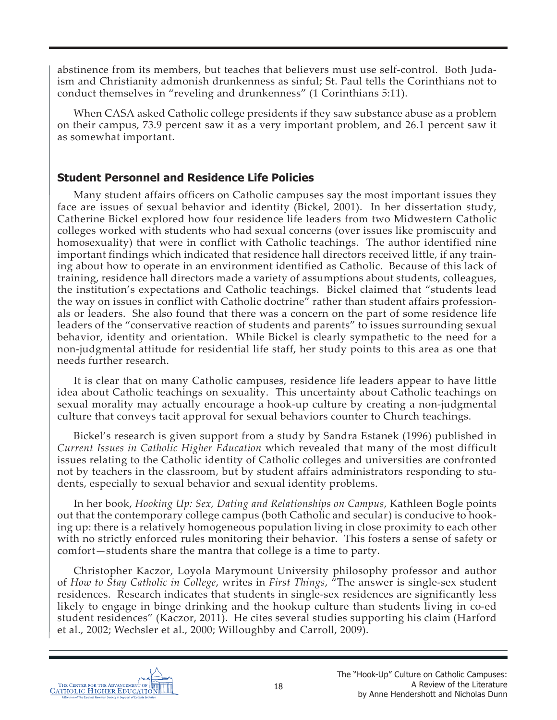abstinence from its members, but teaches that believers must use self-control. Both Judaism and Christianity admonish drunkenness as sinful; St. Paul tells the Corinthians not to conduct themselves in "reveling and drunkenness" (1 Corinthians 5:11).

When CASA asked Catholic college presidents if they saw substance abuse as a problem on their campus, 73.9 percent saw it as a very important problem, and 26.1 percent saw it as somewhat important.

# **Student Personnel and Residence Life Policies**

Many student affairs officers on Catholic campuses say the most important issues they face are issues of sexual behavior and identity (Bickel, 2001). In her dissertation study, Catherine Bickel explored how four residence life leaders from two Midwestern Catholic colleges worked with students who had sexual concerns (over issues like promiscuity and homosexuality) that were in conflict with Catholic teachings. The author identified nine important findings which indicated that residence hall directors received little, if any training about how to operate in an environment identified as Catholic. Because of this lack of training, residence hall directors made a variety of assumptions about students, colleagues, the institution's expectations and Catholic teachings. Bickel claimed that "students lead the way on issues in conflict with Catholic doctrine" rather than student affairs professionals or leaders. She also found that there was a concern on the part of some residence life leaders of the "conservative reaction of students and parents" to issues surrounding sexual behavior, identity and orientation. While Bickel is clearly sympathetic to the need for a non-judgmental attitude for residential life staff, her study points to this area as one that needs further research.

It is clear that on many Catholic campuses, residence life leaders appear to have little idea about Catholic teachings on sexuality. This uncertainty about Catholic teachings on sexual morality may actually encourage a hook-up culture by creating a non-judgmental culture that conveys tacit approval for sexual behaviors counter to Church teachings.

Bickel's research is given support from a study by Sandra Estanek (1996) published in *Current Issues in Catholic Higher Education* which revealed that many of the most difficult issues relating to the Catholic identity of Catholic colleges and universities are confronted not by teachers in the classroom, but by student affairs administrators responding to students, especially to sexual behavior and sexual identity problems.

In her book, *Hooking Up: Sex, Dating and Relationships on Campus*, Kathleen Bogle points out that the contemporary college campus (both Catholic and secular) is conducive to hooking up: there is a relatively homogeneous population living in close proximity to each other with no strictly enforced rules monitoring their behavior. This fosters a sense of safety or comfort—students share the mantra that college is a time to party.

Christopher Kaczor, Loyola Marymount University philosophy professor and author of *How to Stay Catholic in College*, writes in *First Things*, "The answer is single-sex student residences. Research indicates that students in single-sex residences are significantly less likely to engage in binge drinking and the hookup culture than students living in co-ed student residences" (Kaczor, 2011). He cites several studies supporting his claim (Harford et al., 2002; Wechsler et al., 2000; Willoughby and Carroll, 2009).

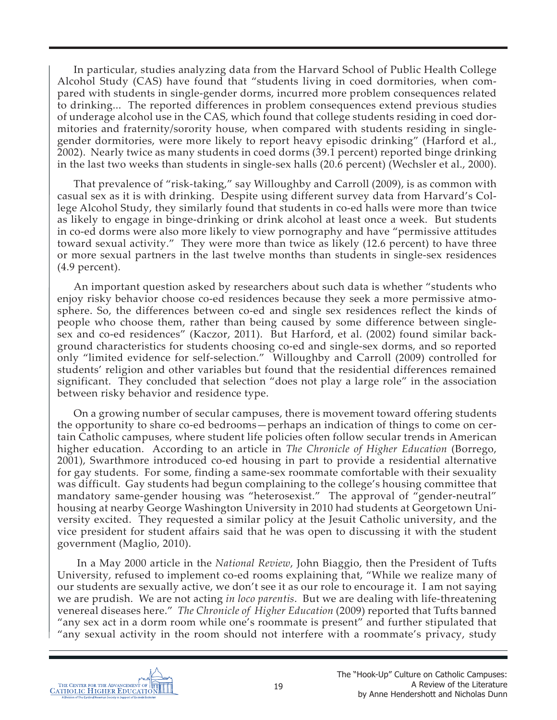In particular, studies analyzing data from the Harvard School of Public Health College Alcohol Study (CAS) have found that "students living in coed dormitories, when compared with students in single-gender dorms, incurred more problem consequences related to drinking... The reported differences in problem consequences extend previous studies of underage alcohol use in the CAS, which found that college students residing in coed dormitories and fraternity/sorority house, when compared with students residing in singlegender dormitories, were more likely to report heavy episodic drinking" (Harford et al., 2002). Nearly twice as many students in coed dorms (39.1 percent) reported binge drinking in the last two weeks than students in single-sex halls (20.6 percent) (Wechsler et al., 2000).

That prevalence of "risk-taking," say Willoughby and Carroll (2009), is as common with casual sex as it is with drinking. Despite using different survey data from Harvard's College Alcohol Study, they similarly found that students in co-ed halls were more than twice as likely to engage in binge-drinking or drink alcohol at least once a week. But students in co-ed dorms were also more likely to view pornography and have "permissive attitudes toward sexual activity." They were more than twice as likely (12.6 percent) to have three or more sexual partners in the last twelve months than students in single-sex residences (4.9 percent).

An important question asked by researchers about such data is whether "students who enjoy risky behavior choose co-ed residences because they seek a more permissive atmosphere. So, the differences between co-ed and single sex residences reflect the kinds of people who choose them, rather than being caused by some difference between singlesex and co-ed residences" (Kaczor, 2011). But Harford, et al. (2002) found similar background characteristics for students choosing co-ed and single-sex dorms, and so reported only "limited evidence for self-selection." Willoughby and Carroll (2009) controlled for students' religion and other variables but found that the residential differences remained significant. They concluded that selection "does not play a large role" in the association between risky behavior and residence type.

On a growing number of secular campuses, there is movement toward offering students the opportunity to share co-ed bedrooms—perhaps an indication of things to come on certain Catholic campuses, where student life policies often follow secular trends in American higher education. According to an article in *The Chronicle of Higher Education* (Borrego, 2001), Swarthmore introduced co-ed housing in part to provide a residential alternative for gay students. For some, finding a same-sex roommate comfortable with their sexuality was difficult. Gay students had begun complaining to the college's housing committee that mandatory same-gender housing was "heterosexist." The approval of "gender-neutral" housing at nearby George Washington University in 2010 had students at Georgetown University excited. They requested a similar policy at the Jesuit Catholic university, and the vice president for student affairs said that he was open to discussing it with the student government (Maglio, 2010).

 In a May 2000 article in the *National Review*, John Biaggio, then the President of Tufts University, refused to implement co-ed rooms explaining that, "While we realize many of our students are sexually active, we don't see it as our role to encourage it. I am not saying we are prudish. We are not acting *in loco parentis*. But we are dealing with life-threatening venereal diseases here." *The Chronicle of Higher Education* (2009) reported that Tufts banned "any sex act in a dorm room while one's roommate is present" and further stipulated that "any sexual activity in the room should not interfere with a roommate's privacy, study

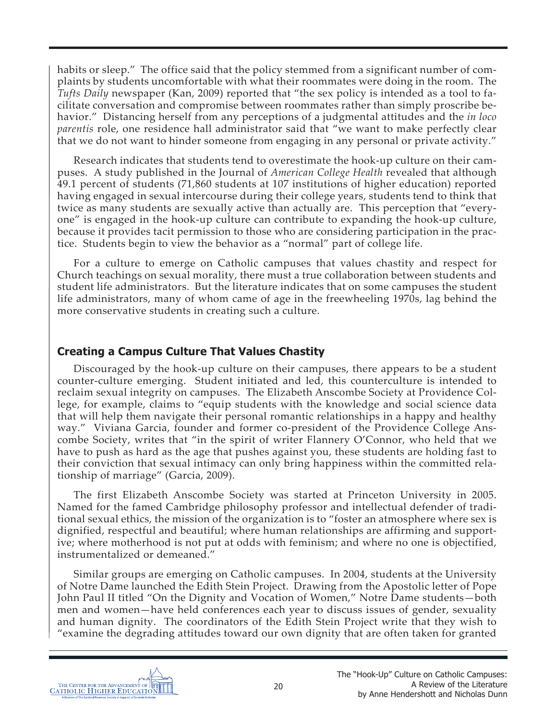habits or sleep." The office said that the policy stemmed from a significant number of complaints by students uncomfortable with what their roommates were doing in the room. The *Tufts Daily* newspaper (Kan, 2009) reported that "the sex policy is intended as a tool to facilitate conversation and compromise between roommates rather than simply proscribe behavior." Distancing herself from any perceptions of a judgmental attitudes and the *in loco parentis* role, one residence hall administrator said that "we want to make perfectly clear that we do not want to hinder someone from engaging in any personal or private activity."

Research indicates that students tend to overestimate the hook-up culture on their campuses. A study published in the Journal of *American College Health* revealed that although 49.1 percent of students (71,860 students at 107 institutions of higher education) reported having engaged in sexual intercourse during their college years, students tend to think that twice as many students are sexually active than actually are. This perception that "everyone" is engaged in the hook-up culture can contribute to expanding the hook-up culture, because it provides tacit permission to those who are considering participation in the practice. Students begin to view the behavior as a "normal" part of college life.

For a culture to emerge on Catholic campuses that values chastity and respect for Church teachings on sexual morality, there must a true collaboration between students and student life administrators. But the literature indicates that on some campuses the student life administrators, many of whom came of age in the freewheeling 1970s, lag behind the more conservative students in creating such a culture.

## **Creating a Campus Culture That Values Chastity**

Discouraged by the hook-up culture on their campuses, there appears to be a student counter-culture emerging. Student initiated and led, this counterculture is intended to reclaim sexual integrity on campuses. The Elizabeth Anscombe Society at Providence College, for example, claims to "equip students with the knowledge and social science data that will help them navigate their personal romantic relationships in a happy and healthy way." Viviana Garcia, founder and former co-president of the Providence College Anscombe Society, writes that "in the spirit of writer Flannery O'Connor, who held that we have to push as hard as the age that pushes against you, these students are holding fast to their conviction that sexual intimacy can only bring happiness within the committed relationship of marriage" (Garcia, 2009).

The first Elizabeth Anscombe Society was started at Princeton University in 2005. Named for the famed Cambridge philosophy professor and intellectual defender of traditional sexual ethics, the mission of the organization is to "foster an atmosphere where sex is dignified, respectful and beautiful; where human relationships are affirming and supportive; where motherhood is not put at odds with feminism; and where no one is objectified, instrumentalized or demeaned."

Similar groups are emerging on Catholic campuses. In 2004, students at the University of Notre Dame launched the Edith Stein Project. Drawing from the Apostolic letter of Pope John Paul II titled "On the Dignity and Vocation of Women," Notre Dame students—both men and women—have held conferences each year to discuss issues of gender, sexuality and human dignity. The coordinators of the Edith Stein Project write that they wish to "examine the degrading attitudes toward our own dignity that are often taken for granted

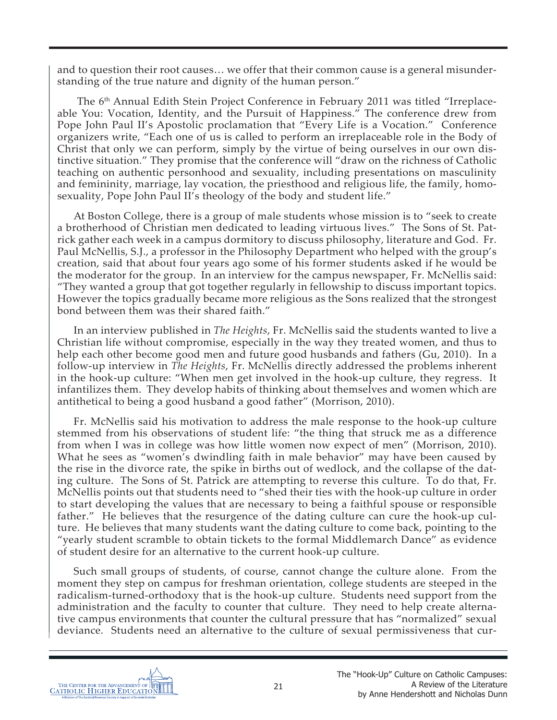and to question their root causes… we offer that their common cause is a general misunderstanding of the true nature and dignity of the human person."

The 6<sup>th</sup> Annual Edith Stein Project Conference in February 2011 was titled "Irreplaceable You: Vocation, Identity, and the Pursuit of Happiness." The conference drew from Pope John Paul II's Apostolic proclamation that "Every Life is a Vocation." Conference organizers write, "Each one of us is called to perform an irreplaceable role in the Body of Christ that only we can perform, simply by the virtue of being ourselves in our own distinctive situation." They promise that the conference will "draw on the richness of Catholic teaching on authentic personhood and sexuality, including presentations on masculinity and femininity, marriage, lay vocation, the priesthood and religious life, the family, homosexuality, Pope John Paul II's theology of the body and student life."

At Boston College, there is a group of male students whose mission is to "seek to create a brotherhood of Christian men dedicated to leading virtuous lives." The Sons of St. Patrick gather each week in a campus dormitory to discuss philosophy, literature and God. Fr. Paul McNellis, S.J., a professor in the Philosophy Department who helped with the group's creation, said that about four years ago some of his former students asked if he would be the moderator for the group. In an interview for the campus newspaper, Fr. McNellis said: "They wanted a group that got together regularly in fellowship to discuss important topics. However the topics gradually became more religious as the Sons realized that the strongest bond between them was their shared faith."

In an interview published in *The Heights*, Fr. McNellis said the students wanted to live a Christian life without compromise, especially in the way they treated women, and thus to help each other become good men and future good husbands and fathers (Gu, 2010). In a follow-up interview in *The Heights*, Fr. McNellis directly addressed the problems inherent in the hook-up culture: "When men get involved in the hook-up culture, they regress. It infantilizes them. They develop habits of thinking about themselves and women which are antithetical to being a good husband a good father" (Morrison, 2010).

Fr. McNellis said his motivation to address the male response to the hook-up culture stemmed from his observations of student life: "the thing that struck me as a difference from when I was in college was how little women now expect of men" (Morrison, 2010). What he sees as "women's dwindling faith in male behavior" may have been caused by the rise in the divorce rate, the spike in births out of wedlock, and the collapse of the dating culture. The Sons of St. Patrick are attempting to reverse this culture. To do that, Fr. McNellis points out that students need to "shed their ties with the hook-up culture in order to start developing the values that are necessary to being a faithful spouse or responsible father." He believes that the resurgence of the dating culture can cure the hook-up culture. He believes that many students want the dating culture to come back, pointing to the "yearly student scramble to obtain tickets to the formal Middlemarch Dance" as evidence of student desire for an alternative to the current hook-up culture.

Such small groups of students, of course, cannot change the culture alone. From the moment they step on campus for freshman orientation, college students are steeped in the radicalism-turned-orthodoxy that is the hook-up culture. Students need support from the administration and the faculty to counter that culture. They need to help create alternative campus environments that counter the cultural pressure that has "normalized" sexual deviance. Students need an alternative to the culture of sexual permissiveness that cur-

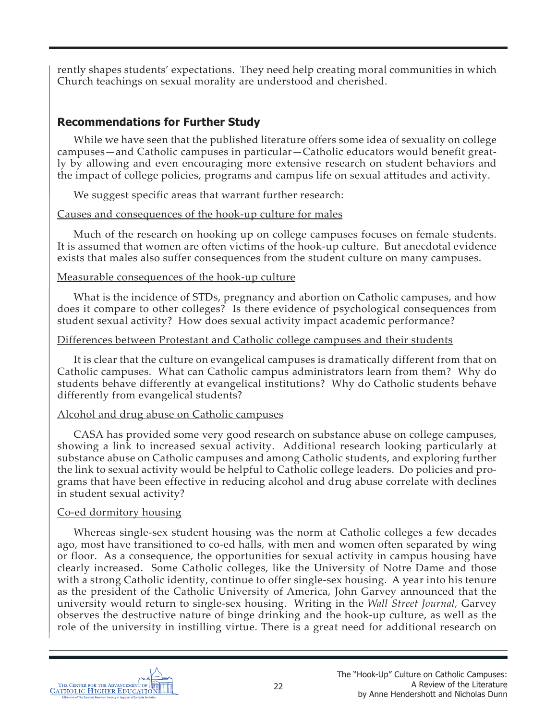rently shapes students' expectations. They need help creating moral communities in which Church teachings on sexual morality are understood and cherished.

# **Recommendations for Further Study**

While we have seen that the published literature offers some idea of sexuality on college campuses—and Catholic campuses in particular—Catholic educators would benefit greatly by allowing and even encouraging more extensive research on student behaviors and the impact of college policies, programs and campus life on sexual attitudes and activity.

We suggest specific areas that warrant further research:

## Causes and consequences of the hook-up culture for males

Much of the research on hooking up on college campuses focuses on female students. It is assumed that women are often victims of the hook-up culture. But anecdotal evidence exists that males also suffer consequences from the student culture on many campuses.

## Measurable consequences of the hook-up culture

What is the incidence of STDs, pregnancy and abortion on Catholic campuses, and how does it compare to other colleges? Is there evidence of psychological consequences from student sexual activity? How does sexual activity impact academic performance?

## Differences between Protestant and Catholic college campuses and their students

It is clear that the culture on evangelical campuses is dramatically different from that on Catholic campuses. What can Catholic campus administrators learn from them? Why do students behave differently at evangelical institutions? Why do Catholic students behave differently from evangelical students?

# Alcohol and drug abuse on Catholic campuses

CASA has provided some very good research on substance abuse on college campuses, showing a link to increased sexual activity. Additional research looking particularly at substance abuse on Catholic campuses and among Catholic students, and exploring further the link to sexual activity would be helpful to Catholic college leaders. Do policies and programs that have been effective in reducing alcohol and drug abuse correlate with declines in student sexual activity?

# Co-ed dormitory housing

Whereas single-sex student housing was the norm at Catholic colleges a few decades ago, most have transitioned to co-ed halls, with men and women often separated by wing or floor. As a consequence, the opportunities for sexual activity in campus housing have clearly increased. Some Catholic colleges, like the University of Notre Dame and those with a strong Catholic identity, continue to offer single-sex housing. A year into his tenure as the president of the Catholic University of America, John Garvey announced that the university would return to single-sex housing. Writing in the *Wall Street Journal,* Garvey observes the destructive nature of binge drinking and the hook-up culture, as well as the role of the university in instilling virtue. There is a great need for additional research on

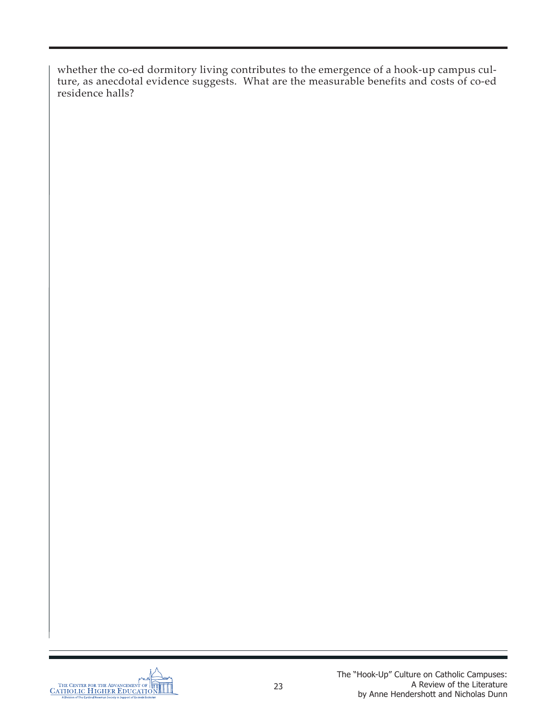whether the co-ed dormitory living contributes to the emergence of a hook-up campus culture, as anecdotal evidence suggests. What are the measurable benefits and costs of co-ed residence halls?

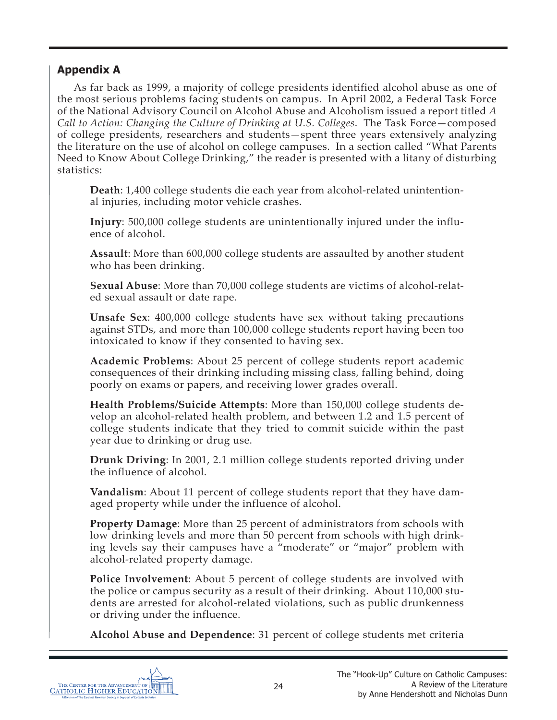# **Appendix A**

As far back as 1999, a majority of college presidents identified alcohol abuse as one of the most serious problems facing students on campus. In April 2002, a Federal Task Force of the National Advisory Council on Alcohol Abuse and Alcoholism issued a report titled *A Call to Action: Changing the Culture of Drinking at U.S. Colleges*. The Task Force—composed of college presidents, researchers and students—spent three years extensively analyzing the literature on the use of alcohol on college campuses. In a section called "What Parents Need to Know About College Drinking," the reader is presented with a litany of disturbing statistics:

**Death**: 1,400 college students die each year from alcohol-related unintentional injuries, including motor vehicle crashes.

**Injury**: 500,000 college students are unintentionally injured under the influence of alcohol.

**Assault**: More than 600,000 college students are assaulted by another student who has been drinking.

**Sexual Abuse**: More than 70,000 college students are victims of alcohol-related sexual assault or date rape.

**Unsafe Sex**: 400,000 college students have sex without taking precautions against STDs, and more than 100,000 college students report having been too intoxicated to know if they consented to having sex.

**Academic Problems**: About 25 percent of college students report academic consequences of their drinking including missing class, falling behind, doing poorly on exams or papers, and receiving lower grades overall.

**Health Problems/Suicide Attempts**: More than 150,000 college students develop an alcohol-related health problem, and between 1.2 and 1.5 percent of college students indicate that they tried to commit suicide within the past year due to drinking or drug use.

**Drunk Driving**: In 2001, 2.1 million college students reported driving under the influence of alcohol.

**Vandalism**: About 11 percent of college students report that they have damaged property while under the influence of alcohol.

**Property Damage**: More than 25 percent of administrators from schools with low drinking levels and more than 50 percent from schools with high drinking levels say their campuses have a "moderate" or "major" problem with alcohol-related property damage.

**Police Involvement**: About 5 percent of college students are involved with the police or campus security as a result of their drinking. About 110,000 students are arrested for alcohol-related violations, such as public drunkenness or driving under the influence.

**Alcohol Abuse and Dependence**: 31 percent of college students met criteria

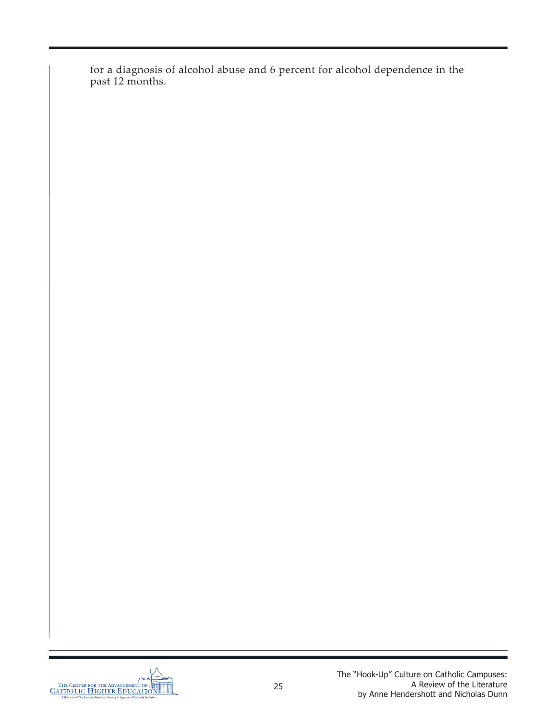for a diagnosis of alcohol abuse and 6 percent for alcohol dependence in the past 12 months.

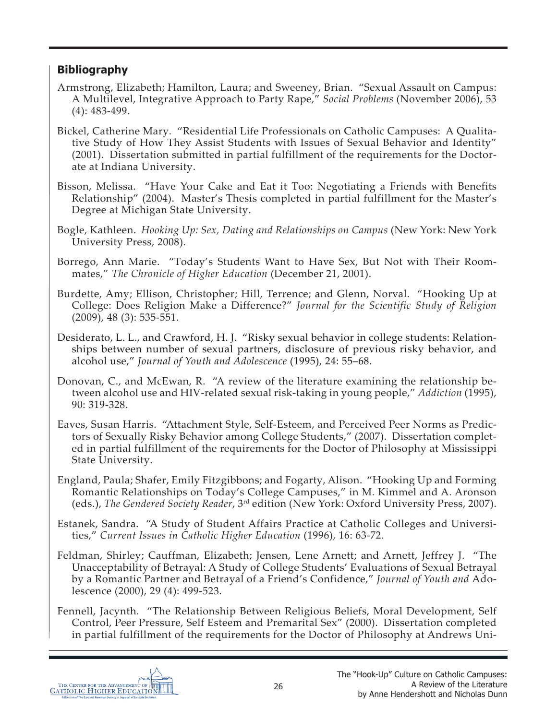# **Bibliography**

- Armstrong, Elizabeth; Hamilton, Laura; and Sweeney, Brian. "Sexual Assault on Campus: A Multilevel, Integrative Approach to Party Rape," *Social Problems* (November 2006), 53 (4): 483-499.
- Bickel, Catherine Mary. "Residential Life Professionals on Catholic Campuses: A Qualitative Study of How They Assist Students with Issues of Sexual Behavior and Identity" (2001). Dissertation submitted in partial fulfillment of the requirements for the Doctorate at Indiana University.
- Bisson, Melissa. "Have Your Cake and Eat it Too: Negotiating a Friends with Benefits Relationship" (2004). Master's Thesis completed in partial fulfillment for the Master's Degree at Michigan State University.
- Bogle, Kathleen. *Hooking Up: Sex, Dating and Relationships on Campus* (New York: New York University Press, 2008).
- Borrego, Ann Marie. "Today's Students Want to Have Sex, But Not with Their Roommates," *The Chronicle of Higher Education* (December 21, 2001).
- Burdette, Amy; Ellison, Christopher; Hill, Terrence; and Glenn, Norval. "Hooking Up at College: Does Religion Make a Difference?" *Journal for the Scientific Study of Religion*  (2009), 48 (3): 535-551.
- Desiderato, L. L., and Crawford, H. J. "Risky sexual behavior in college students: Relationships between number of sexual partners, disclosure of previous risky behavior, and alcohol use," *Journal of Youth and Adolescence* (1995), 24: 55–68.
- Donovan, C., and McEwan, R. "A review of the literature examining the relationship between alcohol use and HIV-related sexual risk-taking in young people," *Addiction* (1995), 90: 319-328.
- Eaves, Susan Harris. "Attachment Style, Self-Esteem, and Perceived Peer Norms as Predictors of Sexually Risky Behavior among College Students," (2007). Dissertation completed in partial fulfillment of the requirements for the Doctor of Philosophy at Mississippi State University.
- England, Paula; Shafer, Emily Fitzgibbons; and Fogarty, Alison. "Hooking Up and Forming Romantic Relationships on Today's College Campuses," in M. Kimmel and A. Aronson (eds.), *The Gendered Society Reader*, 3rd edition (New York: Oxford University Press, 2007).
- Estanek, Sandra. "A Study of Student Affairs Practice at Catholic Colleges and Universities," *Current Issues in Catholic Higher Education* (1996), 16: 63-72.
- Feldman, Shirley; Cauffman, Elizabeth; Jensen, Lene Arnett; and Arnett, Jeffrey J. "The Unacceptability of Betrayal: A Study of College Students' Evaluations of Sexual Betrayal by a Romantic Partner and Betrayal of a Friend's Confidence," *Journal of Youth and* Adolescence (2000), 29 (4): 499-523.
- Fennell, Jacynth. "The Relationship Between Religious Beliefs, Moral Development, Self Control, Peer Pressure, Self Esteem and Premarital Sex" (2000). Dissertation completed in partial fulfillment of the requirements for the Doctor of Philosophy at Andrews Uni-

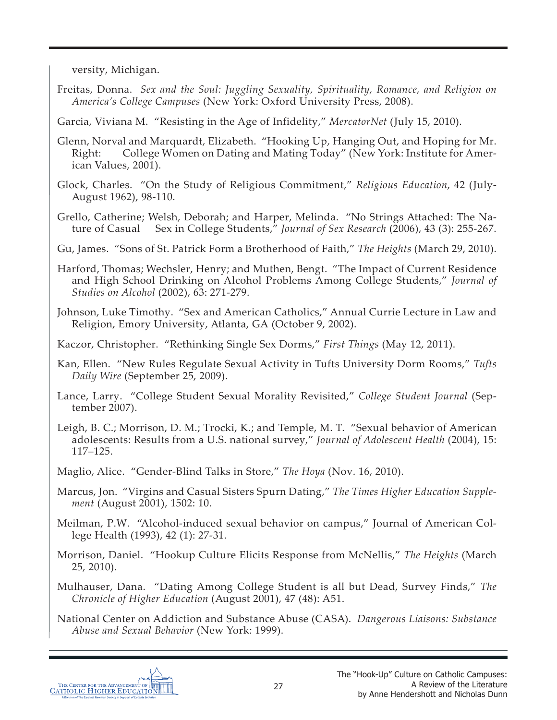versity, Michigan.

- Freitas, Donna. *Sex and the Soul: Juggling Sexuality, Spirituality, Romance, and Religion on America's College Campuses* (New York: Oxford University Press, 2008).
- Garcia, Viviana M. "Resisting in the Age of Infidelity," *MercatorNet* (July 15, 2010).
- Glenn, Norval and Marquardt, Elizabeth. "Hooking Up, Hanging Out, and Hoping for Mr. Right: College Women on Dating and Mating Today" (New York: Institute for American Values, 2001).
- Glock, Charles. "On the Study of Religious Commitment," *Religious Education*, 42 (July-August 1962), 98-110.
- Grello, Catherine; Welsh, Deborah; and Harper, Melinda. "No Strings Attached: The Nature of Casual Sex in College Students," *Journal of Sex Research* (2006), 43 (3): 255-267.
- Gu, James. "Sons of St. Patrick Form a Brotherhood of Faith," *The Heights* (March 29, 2010).
- Harford, Thomas; Wechsler, Henry; and Muthen, Bengt. "The Impact of Current Residence and High School Drinking on Alcohol Problems Among College Students," *Journal of Studies on Alcohol* (2002), 63: 271-279.
- Johnson, Luke Timothy. "Sex and American Catholics," Annual Currie Lecture in Law and Religion, Emory University, Atlanta, GA (October 9, 2002).
- Kaczor, Christopher. "Rethinking Single Sex Dorms," *First Things* (May 12, 2011).
- Kan, Ellen. "New Rules Regulate Sexual Activity in Tufts University Dorm Rooms," *Tufts Daily Wire* (September 25, 2009).
- Lance, Larry. "College Student Sexual Morality Revisited," *College Student Journal* (September 2007).
- Leigh, B. C.; Morrison, D. M.; Trocki, K.; and Temple, M. T. "Sexual behavior of American adolescents: Results from a U.S. national survey," *Journal of Adolescent Health* (2004), 15: 117–125.
- Maglio, Alice. "Gender-Blind Talks in Store," *The Hoya* (Nov. 16, 2010).
- Marcus, Jon. "Virgins and Casual Sisters Spurn Dating," *The Times Higher Education Supplement* (August 2001), 1502: 10.
- Meilman, P.W. "Alcohol-induced sexual behavior on campus," Journal of American College Health (1993), 42 (1): 27-31.
- Morrison, Daniel. "Hookup Culture Elicits Response from McNellis," *The Heights* (March 25, 2010).
- Mulhauser, Dana. "Dating Among College Student is all but Dead, Survey Finds," *The Chronicle of Higher Education* (August 2001), 47 (48): A51.
- National Center on Addiction and Substance Abuse (CASA). *Dangerous Liaisons: Substance Abuse and Sexual Behavior* (New York: 1999).

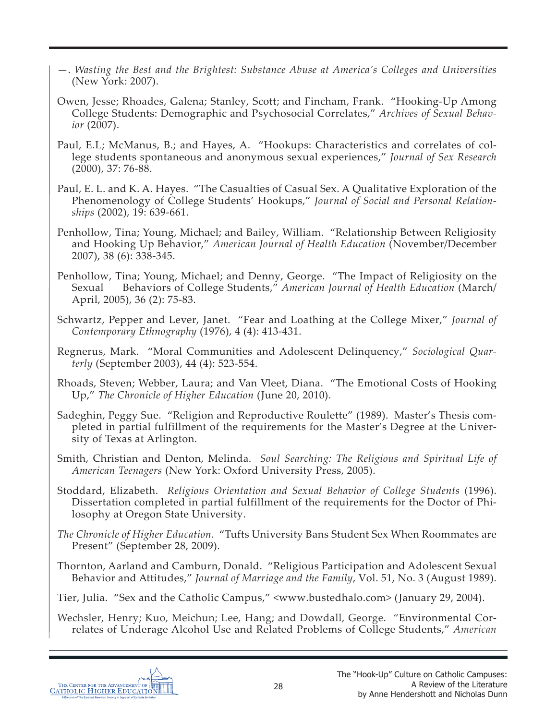- —. *Wasting the Best and the Brightest: Substance Abuse at America's Colleges and Universities* (New York: 2007).
- Owen, Jesse; Rhoades, Galena; Stanley, Scott; and Fincham, Frank. "Hooking-Up Among College Students: Demographic and Psychosocial Correlates," *Archives of Sexual Behavior* (2007).
- Paul, E.L; McManus, B.; and Hayes, A. "Hookups: Characteristics and correlates of college students spontaneous and anonymous sexual experiences," *Journal of Sex Research* (2000), 37: 76-88.
- Paul, E. L. and K. A. Hayes. "The Casualties of Casual Sex. A Qualitative Exploration of the Phenomenology of College Students' Hookups," *Journal of Social and Personal Relationships* (2002), 19: 639-661.
- Penhollow, Tina; Young, Michael; and Bailey, William. "Relationship Between Religiosity and Hooking Up Behavior," *American Journal of Health Education* (November/December 2007), 38 (6): 338-345.
- Penhollow, Tina; Young, Michael; and Denny, George. "The Impact of Religiosity on the Sexual Behaviors of College Students," *American Journal of Health Education* (March/ April, 2005), 36 (2): 75-83.
- Schwartz, Pepper and Lever, Janet. "Fear and Loathing at the College Mixer," *Journal of Contemporary Ethnography* (1976), 4 (4): 413-431.
- Regnerus, Mark. "Moral Communities and Adolescent Delinquency," *Sociological Quarterly* (September 2003), 44 (4): 523-554.
- Rhoads, Steven; Webber, Laura; and Van Vleet, Diana. "The Emotional Costs of Hooking Up," *The Chronicle of Higher Education* (June 20, 2010).
- Sadeghin, Peggy Sue. "Religion and Reproductive Roulette" (1989). Master's Thesis completed in partial fulfillment of the requirements for the Master's Degree at the University of Texas at Arlington.
- Smith, Christian and Denton, Melinda. *Soul Searching: The Religious and Spiritual Life of American Teenagers* (New York: Oxford University Press, 2005).
- Stoddard, Elizabeth. *Religious Orientation and Sexual Behavior of College Students* (1996). Dissertation completed in partial fulfillment of the requirements for the Doctor of Philosophy at Oregon State University.
- *The Chronicle of Higher Education*. "Tufts University Bans Student Sex When Roommates are Present" (September 28, 2009).
- Thornton, Aarland and Camburn, Donald. "Religious Participation and Adolescent Sexual Behavior and Attitudes," *Journal of Marriage and the Family*, Vol. 51, No. 3 (August 1989).
- Tier, Julia. "Sex and the Catholic Campus," <www.bustedhalo.com> (January 29, 2004).
- Wechsler, Henry; Kuo, Meichun; Lee, Hang; and Dowdall, George. "Environmental Correlates of Underage Alcohol Use and Related Problems of College Students," *American*

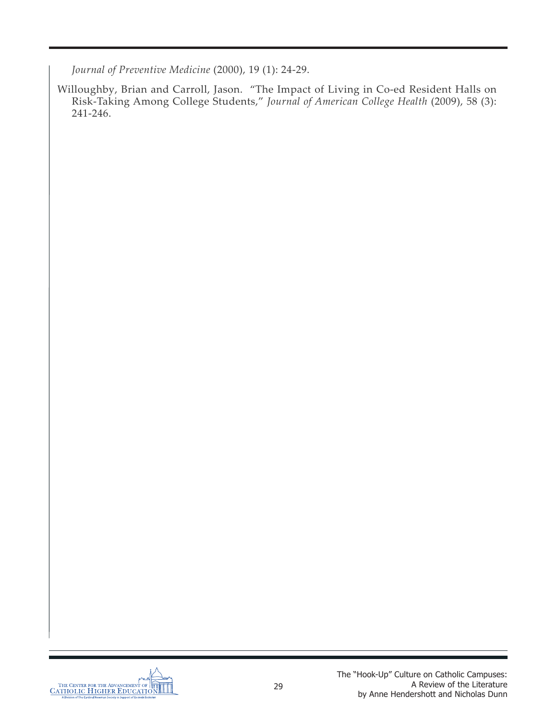*Journal of Preventive Medicine* (2000), 19 (1): 24-29.

Willoughby, Brian and Carroll, Jason. "The Impact of Living in Co-ed Resident Halls on Risk-Taking Among College Students," *Journal of American College Health* (2009), 58 (3): 241-246.